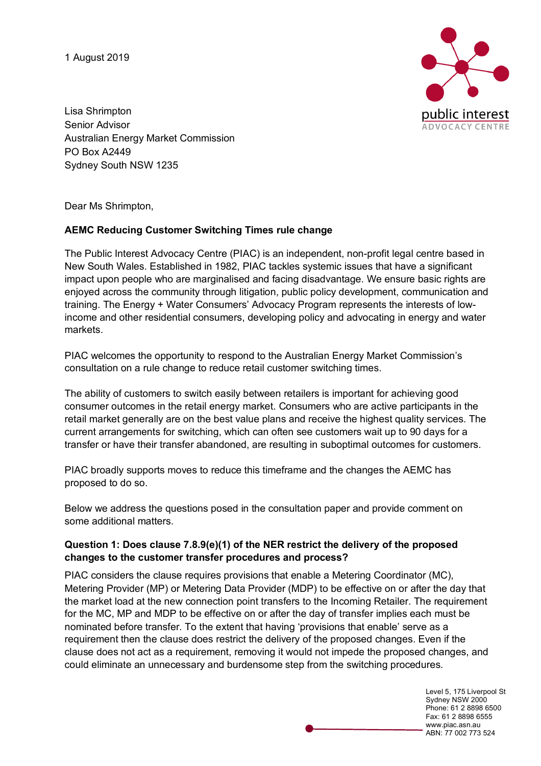1 August 2019



Lisa Shrimpton Senior Advisor Australian Energy Market Commission PO Box A2449 Sydney South NSW 1235

Dear Ms Shrimpton,

# **AEMC Reducing Customer Switching Times rule change**

The Public Interest Advocacy Centre (PIAC) is an independent, non-profit legal centre based in New South Wales. Established in 1982, PIAC tackles systemic issues that have a significant impact upon people who are marginalised and facing disadvantage. We ensure basic rights are enjoyed across the community through litigation, public policy development, communication and training. The Energy + Water Consumers' Advocacy Program represents the interests of lowincome and other residential consumers, developing policy and advocating in energy and water markets.

PIAC welcomes the opportunity to respond to the Australian Energy Market Commission's consultation on a rule change to reduce retail customer switching times.

The ability of customers to switch easily between retailers is important for achieving good consumer outcomes in the retail energy market. Consumers who are active participants in the retail market generally are on the best value plans and receive the highest quality services. The current arrangements for switching, which can often see customers wait up to 90 days for a transfer or have their transfer abandoned, are resulting in suboptimal outcomes for customers.

PIAC broadly supports moves to reduce this timeframe and the changes the AEMC has proposed to do so.

Below we address the questions posed in the consultation paper and provide comment on some additional matters.

#### **Question 1: Does clause 7.8.9(e)(1) of the NER restrict the delivery of the proposed changes to the customer transfer procedures and process?**

PIAC considers the clause requires provisions that enable a Metering Coordinator (MC), Metering Provider (MP) or Metering Data Provider (MDP) to be effective on or after the day that the market load at the new connection point transfers to the Incoming Retailer. The requirement for the MC, MP and MDP to be effective on or after the day of transfer implies each must be nominated before transfer. To the extent that having 'provisions that enable' serve as a requirement then the clause does restrict the delivery of the proposed changes. Even if the clause does not act as a requirement, removing it would not impede the proposed changes, and could eliminate an unnecessary and burdensome step from the switching procedures.

> Level 5, 175 Liverpool St Sydney NSW 2000 Phone: 61 2 8898 6500 Fax: 61 2 8898 6555 www.piac.asn.au ABN: 77 002 773 524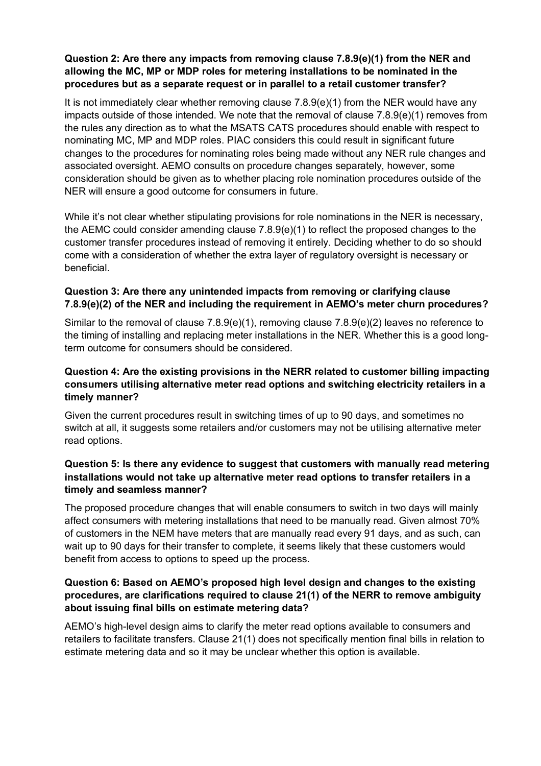## **Question 2: Are there any impacts from removing clause 7.8.9(e)(1) from the NER and allowing the MC, MP or MDP roles for metering installations to be nominated in the procedures but as a separate request or in parallel to a retail customer transfer?**

It is not immediately clear whether removing clause  $7.8.9(e)(1)$  from the NER would have any impacts outside of those intended. We note that the removal of clause 7.8.9(e)(1) removes from the rules any direction as to what the MSATS CATS procedures should enable with respect to nominating MC, MP and MDP roles. PIAC considers this could result in significant future changes to the procedures for nominating roles being made without any NER rule changes and associated oversight. AEMO consults on procedure changes separately, however, some consideration should be given as to whether placing role nomination procedures outside of the NER will ensure a good outcome for consumers in future.

While it's not clear whether stipulating provisions for role nominations in the NER is necessary, the AEMC could consider amending clause 7.8.9(e)(1) to reflect the proposed changes to the customer transfer procedures instead of removing it entirely. Deciding whether to do so should come with a consideration of whether the extra layer of regulatory oversight is necessary or beneficial.

# **Question 3: Are there any unintended impacts from removing or clarifying clause 7.8.9(e)(2) of the NER and including the requirement in AEMO's meter churn procedures?**

Similar to the removal of clause 7.8.9(e)(1), removing clause 7.8.9(e)(2) leaves no reference to the timing of installing and replacing meter installations in the NER. Whether this is a good longterm outcome for consumers should be considered.

## **Question 4: Are the existing provisions in the NERR related to customer billing impacting consumers utilising alternative meter read options and switching electricity retailers in a timely manner?**

Given the current procedures result in switching times of up to 90 days, and sometimes no switch at all, it suggests some retailers and/or customers may not be utilising alternative meter read options.

## **Question 5: Is there any evidence to suggest that customers with manually read metering installations would not take up alternative meter read options to transfer retailers in a timely and seamless manner?**

The proposed procedure changes that will enable consumers to switch in two days will mainly affect consumers with metering installations that need to be manually read. Given almost 70% of customers in the NEM have meters that are manually read every 91 days, and as such, can wait up to 90 days for their transfer to complete, it seems likely that these customers would benefit from access to options to speed up the process.

# **Question 6: Based on AEMO's proposed high level design and changes to the existing procedures, are clarifications required to clause 21(1) of the NERR to remove ambiguity about issuing final bills on estimate metering data?**

AEMO's high-level design aims to clarify the meter read options available to consumers and retailers to facilitate transfers. Clause 21(1) does not specifically mention final bills in relation to estimate metering data and so it may be unclear whether this option is available.